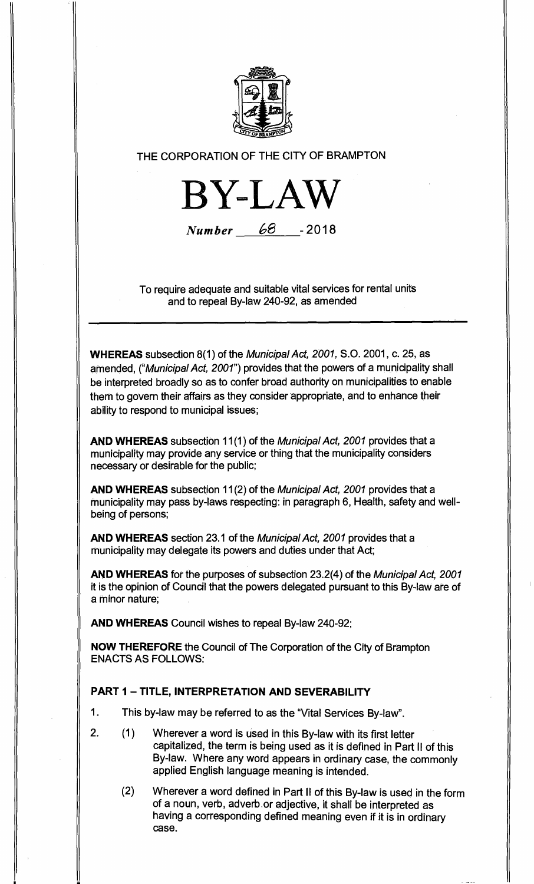

# **THE CORPORATION OF THE CITY OF BRAMPTON**

**BY-LAW** 

**Number** 68 - 2018

**To require adequate and suitable vital services for rental units and to repeal By-law 240-92, as amended** 

**WHEREAS subsection 8(1) of the Municipal Act, 2001, S.O. 2001, c. 25, as amended, ("Municipal Act, 2001") provides that the powers of a municipality shall be interpreted broadly so as to confer broad authority on municipalities to enable them to govern their affairs as they consider appropriate, and to enhance their ability to respond to municipal issues;** 

**AND WHEREAS subsection 11(1) of the Municipal Act, 2001 provides that a municipality may provide any service or thing that the municipality considers necessary or desirable for the public;** 

**AND WHEREAS subsection 11(2) of the Municipal Act, 2001 provides that a municipality may pass by-laws respecting: in paragraph 6, Health, safety and wellbeing of persons;** 

**AND WHEREAS section 23.1 of the Municipal Act, 2001 provides that a municipality may delegate its powers and duties under that Act;** 

**AND WHEREAS for the purposes of subsection 23.2(4) of the Municipal Act, 2001 it is the opinion of Council that the powers delegated pursuant to this By-law are of a minor nature;** 

**AND WHEREAS Council wishes to repeal By-law 240-92;** 

**NOW THEREFORE the Council of The Corporation of the City of Brampton ENACTS AS FOLLOWS:** 

## **PART 1 — TITLE, INTERPRETATION AND SEVERABILITY**

- **1. This by-law may be referred to as the "Vital Services By-law".**
- **2. (1) Wherever a word is used in this By-law with its first letter capitalized, the term is being used as it is defined in Part II of this By-law. Where any word appears in ordinary case, the commonly applied English language meaning is intended.** 
	- **(2) Wherever a word defined in Part II of this By-law is used in the form of a noun, verb, adverb.or adjective, it shall be interpreted as having a corresponding defined meaning even if it is in ordinary case.**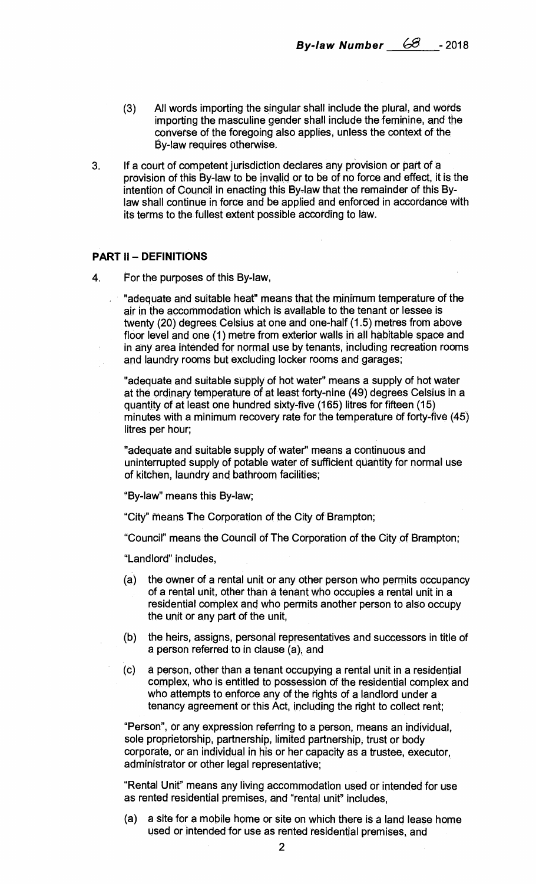- **(3) All words importing the singular shall include the plural, and words importing the masculine gender shall include the feminine, and the converse of the foregoing also applies, unless the context of the By-law requires otherwise.**
- **3. If a court of competent jurisdiction declares any provision or part of a provision of this By-law to be invalid or to be of no force and effect, it is the intention of Council in enacting this By-law that the remainder of this Bylaw shall continue in force and be applied and enforced in accordance with its terms to the fullest extent possible according to law.**

#### **PART II — DEFINITIONS**

**4. For the purposes of this By-law,** 

**"adequate and suitable heat" means that the minimum temperature of the air in the accommodation which is available to the tenant or lessee is twenty (20) degrees Celsius at one and one-half (1.5) metres from above floor level and one (1) metre from exterior walls in all habitable space and in any area intended for normal use by tenants, including recreation rooms and laundry rooms but excluding locker rooms and garages;** 

**"adequate and suitable supply of hot water" means a supply of hot water at the ordinary temperature of at least forty-nine (49) degrees Celsius in a quantity of at least one hundred sixty-five (165) litres for fifteen (15) minutes with a minimum recovery rate for the temperature of forty-five (45) litres per hour;** 

**"adequate and suitable supply of water" means a continuous and uninterrupted supply of potable water of sufficient quantity for normal use of kitchen, laundry and bathroom facilities;** 

**"By-law" means this By-law;** 

**"City" means The Corporation of the City of Brampton;** 

**"Council" means the Council of The Corporation of the City of Brampton;** 

**"Landlord" includes,** 

- **(a) the owner of a rental unit or any other person who permits occupancy of a rental unit, other than a tenant who occupies a rental unit in a residential complex and who permits another person to also occupy the unit or any part of the unit,**
- **(b) the heirs, assigns, personal representatives and successors in title of a person referred to in clause (a), and**
- **(c) a person, other than a tenant occupying a rental unit in a residential complex, who is entitled to possession of the residential complex and who attempts to enforce any of the rights of a landlord under a tenancy agreement or this Act, including the right to collect rent;**

**"Person", or any expression referring to a person, means an individual, sole proprietorship, partnership, limited partnership, trust or body corporate, or an individual in his or her capacity as a trustee, executor, administrator or other legal representative;** 

**"Rental Unit" means any living accommodation used or intended for use as rented residential premises, and "rental unit" includes,** 

**(a) a site for a mobile home or site on which there is a land lease home used or intended for use as rented residential premises, and**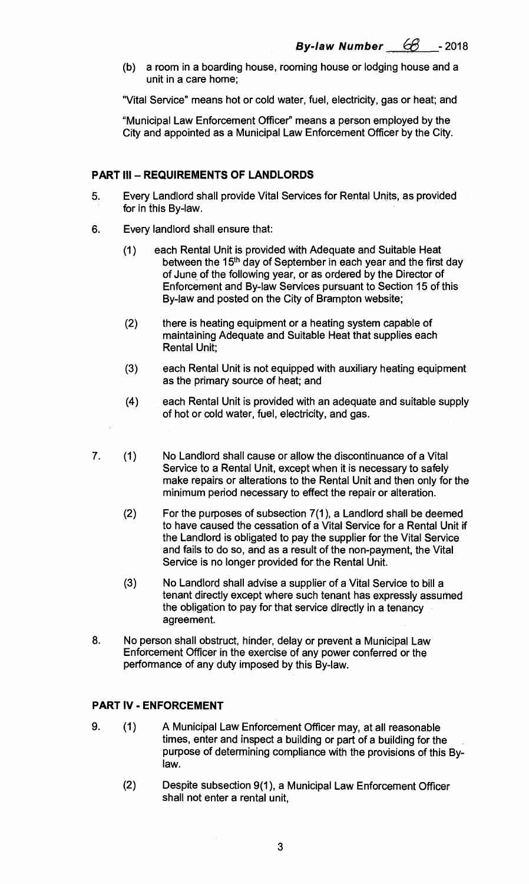(b) a room in a boarding house, rooming house or lodging house and a unit in a care home;

"Vital Service" means hot or cold water, fuel, electricity, gas or heat; and

"Municipal Law Enforcement Officer" means a person employed by the City and appointed as a Municipal Law Enforcement Officer by the City.

#### **PART III — REQUIREMENTS OF LANDLORDS**

- 5. Every Landlord shall provide Vital Services for Rental Units, as provided for in this By-law.
- 6. Every landlord shall ensure that:
	- (1) each Rental Unit is provided with Adequate and Suitable Heat between the 15<sup>th</sup> day of September in each year and the first day of June of the following year, or as ordered by the Director of Enforcement and By-law Services pursuant to Section 15 of this By-law and posted on the City of Brampton website;
	- (2) there is heating equipment or a heating system capable of maintaining Adequate and Suitable Heat that supplies each Rental Unit;
	- (3) each Rental Unit is not equipped with auxiliary heating equipment, as the primary source of heat; and
	- (4) each Rental Unit is provided with an adequate and suitable supply of hot or cold water, fuel, electricity, and gas.
- 7. (1) No Landlord shall cause or allow the discontinuance of a Vital Service to a Rental Unit, except when it is necessary to safely make repairs or alterations to the Rental Unit and then only for the minimum period necessary to effect the repair or alteration.
	- (2) For the purposes of subsection 7(1), a Landlord shall be deemed to have caused the cessation of a Vital Service for a Rental Unit if the Landlord is obligated to pay the supplier for the Vital Service and fails to do so, and as a result of the non-payment, the Vital Service is no longer provided for the Rental Unit.
	- (3) No Landlord shall advise a supplier of a Vital Service to bill a tenant directly except where such tenant has expressly assumed the obligation to pay for that service directly in a tenancy agreement.
- 8. No person shall obstruct, hinder, delay or prevent a Municipal Law Enforcement Officer in the exercise of any power conferred or the performance of any duty imposed by this By-law.

### **PART IV - ENFORCEMENT**

- 9. (1) A Municipal Law Enforcement Officer may, at all reasonable times, enter and inspect a building or part of a building for the purpose of determining compliance with the provisions of this Bylaw.
	- (2) Despite subsection 9(1), a Municipal Law Enforcement Officer shall not enter a rental unit,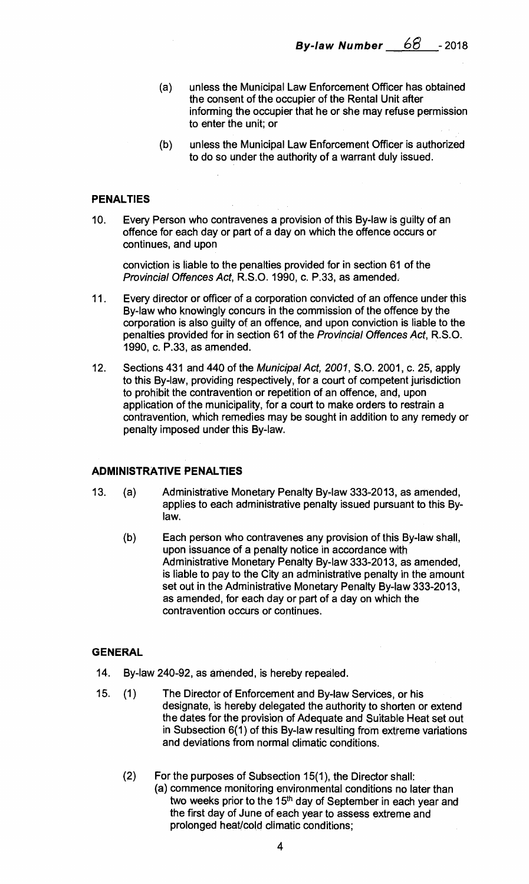- (a) unless the Municipal Law Enforcement Officer has obtained the consent of the occupier of the Rental Unit after informing the occupier that he or she may refuse permission to enter the unit; or
- (b) unless the Municipal Law Enforcement Officer is authorized to do so under the authority of a warrant duly issued.

### **PENALTIES**

10. Every Person who contravenes a provision of this By-law is guilty of an offence for each day or part of a day on which the offence occurs or continues, and upon

conviction is liable to the penalties provided for in section 61 of the Provincial Offences Act, R.S.O. 1990, c. P.33, as amended.

- 11. Every director or officer of a corporation convicted of an offence under this By-law who knowingly concurs in the commission of the offence by the corporation is also guilty of an offence, and upon conviction is liable to the penalties provided for in section 61 of the Provincial Offences Act, R.S.O. 1990, c. P.33, as amended.
- 12. Sections 431 and 440 of the Municipal Act, 2001, S.O. 2001, c. 25, apply to this By-law, providing respectively, for a court of competent jurisdiction to prohibit the contravention or repetition of an offence, and, upon application of the municipality, for a court to make orders to restrain a contravention, which remedies may be sought in addition to any remedy or penalty imposed under this By-law.

#### **ADMINISTRATIVE PENALTIES**

- 13. (a) Administrative Monetary Penalty By-law 333-2013, as amended, applies to each administrative penalty issued pursuant to this Bylaw.
	- (b) Each person who contravenes any provision of this By-law shall, upon issuance of a penalty notice in accordance with Administrative Monetary Penalty By-law 333-2013, as amended, is liable to pay to the City an administrative penalty in the amount set out in the Administrative Monetary Penalty By-law 333-2013, as amended, for each day or part of a day on which the contravention occurs or continues.

#### **GENERAL**

- 14. By-law 240-92, as amended, is hereby repealed.
- 15. (1) The Director of Enforcement and By-law Services, or his designate, is hereby delegated the authority to shorten or extend the dates for the provision of Adequate and Suitable Heat set out in Subsection 6(1) of this By-law resulting from extreme variations and deviations from normal climatic conditions.
	- (2) For the purposes of Subsection 15(1), the Director shall: (a) commence monitoring environmental conditions no later than two weeks prior to the 15<sup>th</sup> day of September in each year and the first day of June of each year to assess extreme and prolonged heat/cold climatic conditions;